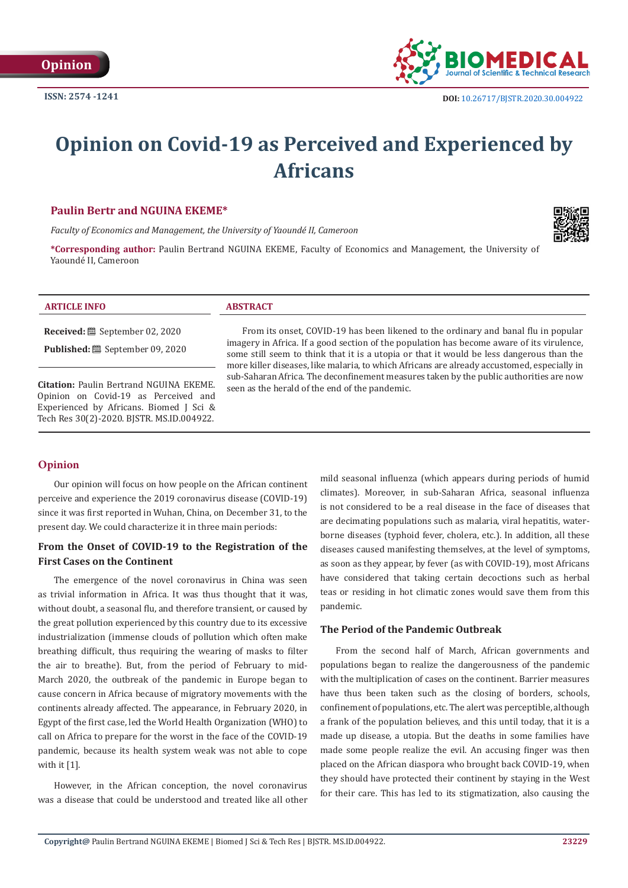

# **Opinion on Covid-19 as Perceived and Experienced by Africans**

#### **Paulin Bertr and NGUINA EKEME\***

*Faculty of Economics and Management, the University of Yaoundé II, Cameroon*





**Received:** September 02, 2020

**Published:** <sup>■</sup> September 09, 2020

**Citation:** Paulin Bertrand NGUINA EKEME. Opinion on Covid-19 as Perceived and Experienced by Africans. Biomed J Sci & Tech Res 30(2)-2020. BJSTR. MS.ID.004922.

From its onset, COVID-19 has been likened to the ordinary and banal flu in popular imagery in Africa. If a good section of the population has become aware of its virulence, some still seem to think that it is a utopia or that it would be less dangerous than the more killer diseases, like malaria, to which Africans are already accustomed, especially in sub-Saharan Africa. The deconfinement measures taken by the public authorities are now seen as the herald of the end of the pandemic.

#### **Opinion**

Our opinion will focus on how people on the African continent perceive and experience the 2019 coronavirus disease (COVID-19) since it was first reported in Wuhan, China, on December 31, to the present day. We could characterize it in three main periods:

### **From the Onset of COVID-19 to the Registration of the First Cases on the Continent**

The emergence of the novel coronavirus in China was seen as trivial information in Africa. It was thus thought that it was, without doubt, a seasonal flu, and therefore transient, or caused by the great pollution experienced by this country due to its excessive industrialization (immense clouds of pollution which often make breathing difficult, thus requiring the wearing of masks to filter the air to breathe). But, from the period of February to mid-March 2020, the outbreak of the pandemic in Europe began to cause concern in Africa because of migratory movements with the continents already affected. The appearance, in February 2020, in Egypt of the first case, led the World Health Organization (WHO) to call on Africa to prepare for the worst in the face of the COVID-19 pandemic, because its health system weak was not able to cope with it [1].

However, in the African conception, the novel coronavirus was a disease that could be understood and treated like all other

mild seasonal influenza (which appears during periods of humid climates). Moreover, in sub-Saharan Africa, seasonal influenza is not considered to be a real disease in the face of diseases that are decimating populations such as malaria, viral hepatitis, waterborne diseases (typhoid fever, cholera, etc.). In addition, all these diseases caused manifesting themselves, at the level of symptoms, as soon as they appear, by fever (as with COVID-19), most Africans have considered that taking certain decoctions such as herbal teas or residing in hot climatic zones would save them from this pandemic.

#### **The Period of the Pandemic Outbreak**

From the second half of March, African governments and populations began to realize the dangerousness of the pandemic with the multiplication of cases on the continent. Barrier measures have thus been taken such as the closing of borders, schools, confinement of populations, etc. The alert was perceptible, although a frank of the population believes, and this until today, that it is a made up disease, a utopia. But the deaths in some families have made some people realize the evil. An accusing finger was then placed on the African diaspora who brought back COVID-19, when they should have protected their continent by staying in the West for their care. This has led to its stigmatization, also causing the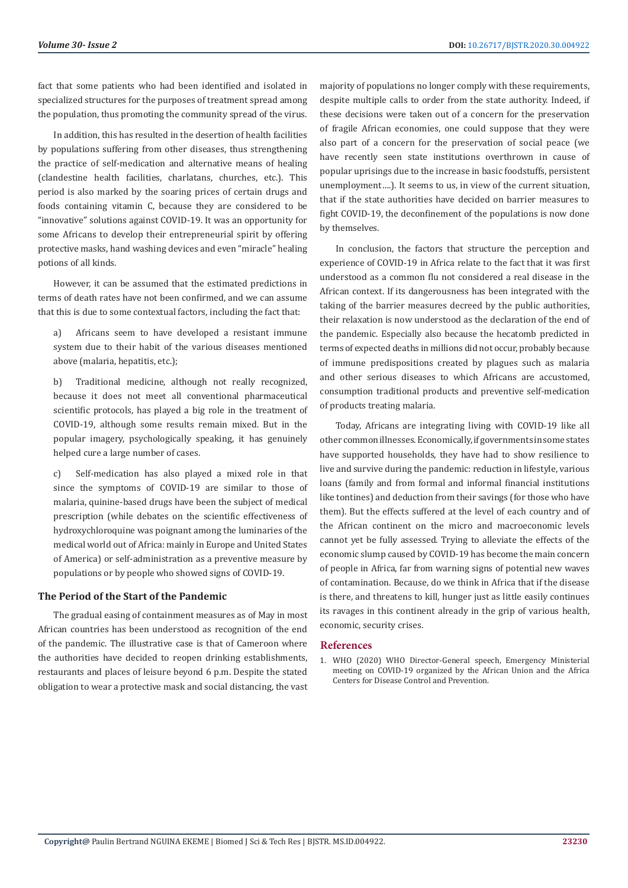fact that some patients who had been identified and isolated in specialized structures for the purposes of treatment spread among the population, thus promoting the community spread of the virus.

In addition, this has resulted in the desertion of health facilities by populations suffering from other diseases, thus strengthening the practice of self-medication and alternative means of healing (clandestine health facilities, charlatans, churches, etc.). This period is also marked by the soaring prices of certain drugs and foods containing vitamin C, because they are considered to be "innovative" solutions against COVID-19. It was an opportunity for some Africans to develop their entrepreneurial spirit by offering protective masks, hand washing devices and even "miracle" healing potions of all kinds.

However, it can be assumed that the estimated predictions in terms of death rates have not been confirmed, and we can assume that this is due to some contextual factors, including the fact that:

a) Africans seem to have developed a resistant immune system due to their habit of the various diseases mentioned above (malaria, hepatitis, etc.);

b) Traditional medicine, although not really recognized, because it does not meet all conventional pharmaceutical scientific protocols, has played a big role in the treatment of COVID-19, although some results remain mixed. But in the popular imagery, psychologically speaking, it has genuinely helped cure a large number of cases.

c) Self-medication has also played a mixed role in that since the symptoms of COVID-19 are similar to those of malaria, quinine-based drugs have been the subject of medical prescription (while debates on the scientific effectiveness of hydroxychloroquine was poignant among the luminaries of the medical world out of Africa: mainly in Europe and United States of America) or self-administration as a preventive measure by populations or by people who showed signs of COVID-19.

#### **The Period of the Start of the Pandemic**

The gradual easing of containment measures as of May in most African countries has been understood as recognition of the end of the pandemic. The illustrative case is that of Cameroon where the authorities have decided to reopen drinking establishments, restaurants and places of leisure beyond 6 p.m. Despite the stated obligation to wear a protective mask and social distancing, the vast

majority of populations no longer comply with these requirements, despite multiple calls to order from the state authority. Indeed, if these decisions were taken out of a concern for the preservation of fragile African economies, one could suppose that they were also part of a concern for the preservation of social peace (we have recently seen state institutions overthrown in cause of popular uprisings due to the increase in basic foodstuffs, persistent unemployment….). It seems to us, in view of the current situation, that if the state authorities have decided on barrier measures to fight COVID-19, the deconfinement of the populations is now done by themselves.

In conclusion, the factors that structure the perception and experience of COVID-19 in Africa relate to the fact that it was first understood as a common flu not considered a real disease in the African context. If its dangerousness has been integrated with the taking of the barrier measures decreed by the public authorities, their relaxation is now understood as the declaration of the end of the pandemic. Especially also because the hecatomb predicted in terms of expected deaths in millions did not occur, probably because of immune predispositions created by plagues such as malaria and other serious diseases to which Africans are accustomed, consumption traditional products and preventive self-medication of products treating malaria.

Today, Africans are integrating living with COVID-19 like all other common illnesses. Economically, if governments in some states have supported households, they have had to show resilience to live and survive during the pandemic: reduction in lifestyle, various loans (family and from formal and informal financial institutions like tontines) and deduction from their savings (for those who have them). But the effects suffered at the level of each country and of the African continent on the micro and macroeconomic levels cannot yet be fully assessed. Trying to alleviate the effects of the economic slump caused by COVID-19 has become the main concern of people in Africa, far from warning signs of potential new waves of contamination. Because, do we think in Africa that if the disease is there, and threatens to kill, hunger just as little easily continues its ravages in this continent already in the grip of various health, economic, security crises.

#### **References**

1. [WHO \(2020\) WHO Director-General speech, Emergency Ministerial](https://www.who.int/dg/speeches/detail/emergency-ministerial-meeting-on-covid-19-organized-by-the-african-union-and-the-africa-centres-for-disease-control-and-prevention) [meeting on COVID-19 organized by the African Union and the Africa](https://www.who.int/dg/speeches/detail/emergency-ministerial-meeting-on-covid-19-organized-by-the-african-union-and-the-africa-centres-for-disease-control-and-prevention) [Centers for Disease Control and Prevention.](https://www.who.int/dg/speeches/detail/emergency-ministerial-meeting-on-covid-19-organized-by-the-african-union-and-the-africa-centres-for-disease-control-and-prevention)